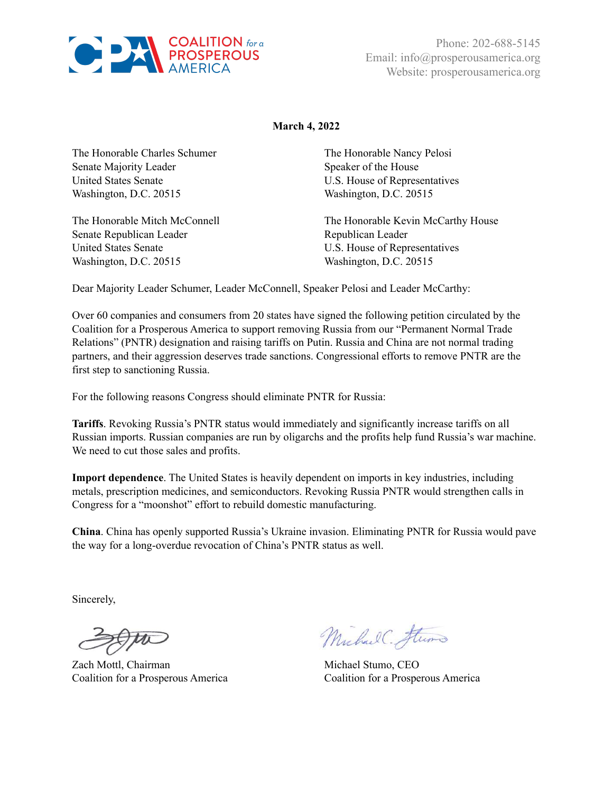

Phone: 202-688-5145 Email: info@prosperousamerica.org Website: prosperousamerica.org

## **March 4, 2022**

The Honorable Charles Schumer Senate Majority Leader United States Senate Washington, D.C. 20515

The Honorable Mitch McConnell Senate Republican Leader United States Senate Washington, D.C. 20515

The Honorable Nancy Pelosi Speaker of the House U.S. House of Representatives Washington, D.C. 20515

The Honorable Kevin McCarthy House Republican Leader U.S. House of Representatives Washington, D.C. 20515

Dear Majority Leader Schumer, Leader McConnell, Speaker Pelosi and Leader McCarthy:

Over 60 companies and consumers from 20 states have signed the following petition circulated by the Coalition for a Prosperous America to support removing Russia from our "Permanent Normal Trade Relations" (PNTR) designation and raising tariffs on Putin. Russia and China are not normal trading partners, and their aggression deserves trade sanctions. Congressional efforts to remove PNTR are the first step to sanctioning Russia.

For the following reasons Congress should eliminate PNTR for Russia:

**Tariffs**. Revoking Russia's PNTR status would immediately and significantly increase tariffs on all Russian imports. Russian companies are run by oligarchs and the profits help fund Russia's war machine. We need to cut those sales and profits.

**Import dependence**. The United States is heavily dependent on imports in key industries, including metals, prescription medicines, and semiconductors. Revoking Russia PNTR would strengthen calls in Congress for a "moonshot" effort to rebuild domestic manufacturing.

**China**. China has openly supported Russia's Ukraine invasion. Eliminating PNTR for Russia would pave the way for a long-overdue revocation of China's PNTR status as well.

Sincerely,

Zach Mottl, Chairman Michael Stumo, CEO

Michael Flumo

Coalition for a Prosperous America Coalition for a Prosperous America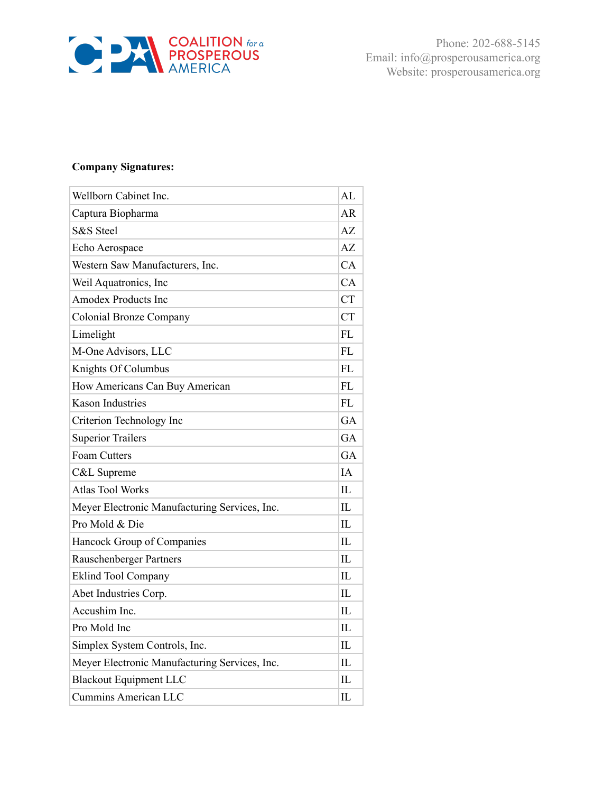

Phone: 202-688-5145 Email: info@prosperousamerica.org Website: prosperousamerica.org

## **Company Signatures:**

| Wellborn Cabinet Inc.                         | AL        |
|-----------------------------------------------|-----------|
| Captura Biopharma                             | AR        |
| S&S Steel                                     | AZ.       |
| Echo Aerospace                                | AZ        |
| Western Saw Manufacturers, Inc.               | CA        |
| Weil Aquatronics, Inc.                        | CA        |
| <b>Amodex Products Inc</b>                    | <b>CT</b> |
| <b>Colonial Bronze Company</b>                | <b>CT</b> |
| Limelight                                     | FL.       |
| M-One Advisors, LLC                           | FL        |
| Knights Of Columbus                           | <b>FL</b> |
| How Americans Can Buy American                | <b>FL</b> |
| <b>Kason Industries</b>                       | FL        |
| Criterion Technology Inc                      | <b>GA</b> |
| <b>Superior Trailers</b>                      | <b>GA</b> |
| Foam Cutters                                  | <b>GA</b> |
| C&L Supreme                                   | IΑ        |
| <b>Atlas Tool Works</b>                       | IL        |
| Meyer Electronic Manufacturing Services, Inc. | IL.       |
| Pro Mold & Die                                | IL        |
| Hancock Group of Companies                    | IL.       |
| Rauschenberger Partners                       | IL        |
| <b>Eklind Tool Company</b>                    | IL        |
| Abet Industries Corp.                         | IL        |
| Accushim Inc.                                 | IL        |
| Pro Mold Inc                                  | Π.        |
| Simplex System Controls, Inc.                 | Π.        |
| Meyer Electronic Manufacturing Services, Inc. | IL        |
| <b>Blackout Equipment LLC</b>                 | IL        |
| <b>Cummins American LLC</b>                   | IL        |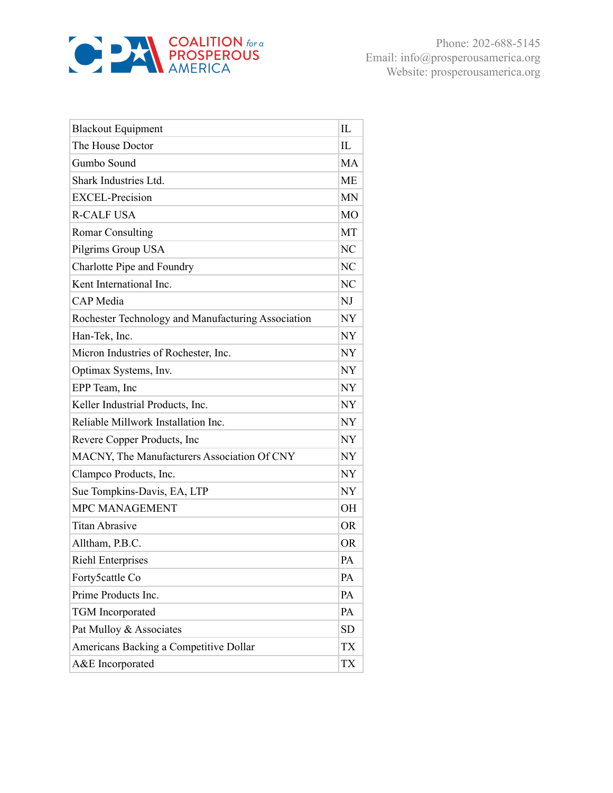

| <b>Blackout Equipment</b>                          | IL        |
|----------------------------------------------------|-----------|
| The House Doctor                                   | IL        |
| Gumbo Sound                                        | МA        |
| Shark Industries Ltd.                              | МE        |
| <b>EXCEL-Precision</b>                             | <b>MN</b> |
| <b>R-CALF USA</b>                                  | МO        |
| <b>Romar Consulting</b>                            | MT        |
| Pilgrims Group USA                                 | NC        |
| Charlotte Pipe and Foundry                         | NC        |
| Kent International Inc.                            | NC        |
| <b>CAP</b> Media                                   | NJ        |
| Rochester Technology and Manufacturing Association | NY        |
| Han-Tek, Inc.                                      | NY        |
| Micron Industries of Rochester, Inc.               | <b>NY</b> |
| Optimax Systems, Inv.                              | NY        |
| EPP Team, Inc                                      | NY        |
| Keller Industrial Products, Inc.                   | NY        |
| Reliable Millwork Installation Inc.                | NY        |
| Revere Copper Products, Inc                        | NY        |
| MACNY, The Manufacturers Association Of CNY        | NY        |
| Clampco Products, Inc.                             | <b>NY</b> |
| Sue Tompkins-Davis, EA, LTP                        | NY        |
| MPC MANAGEMENT                                     | <b>OH</b> |
| <b>Titan Abrasive</b>                              | <b>OR</b> |
| Alltham, P.B.C.                                    | <b>OR</b> |
| <b>Riehl Enterprises</b>                           | PA        |
| Forty5cattle Co                                    | PA        |
| Prime Products Inc.                                | PA        |
| <b>TGM</b> Incorporated                            | PA        |
| Pat Mulloy & Associates                            | <b>SD</b> |
| Americans Backing a Competitive Dollar             | TX        |
| A&E Incorporated                                   | TX        |